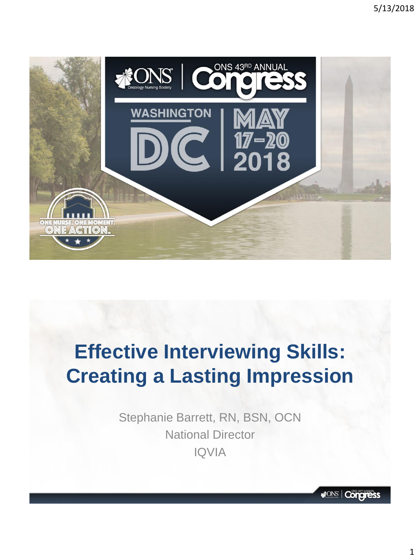

# **Effective Interviewing Skills: Creating a Lasting Impression**

Stephanie Barrett, RN, BSN, OCN National Director IQVIA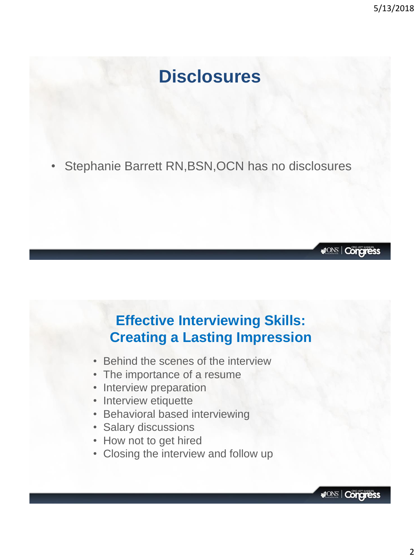# **Disclosures**

• Stephanie Barrett RN,BSN,OCN has no disclosures

#### **Effective Interviewing Skills: Creating a Lasting Impression**

- Behind the scenes of the interview
- The importance of a resume
- Interview preparation
- Interview etiquette
- Behavioral based interviewing
- Salary discussions
- How not to get hired
- Closing the interview and follow up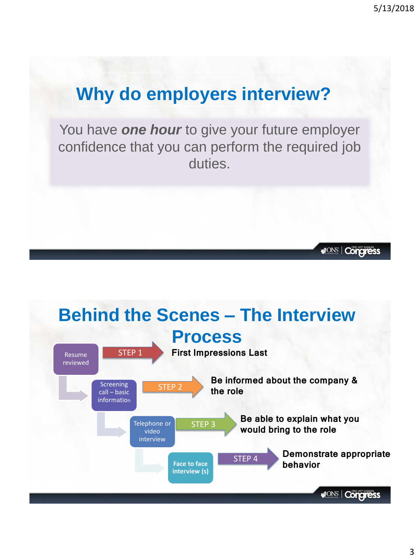**MONS | Congress** 

# **Why do employers interview?**

You have *one hour* to give your future employer confidence that you can perform the required job duties.

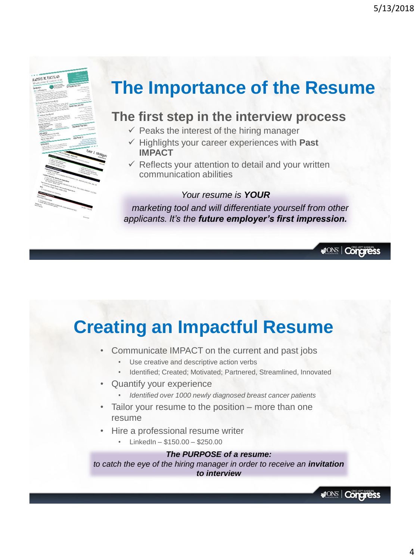**MONS** | Congress

**MONS** | Congress

# **The Importance of the Resume**

#### **The first step in the interview process**

- $\checkmark$  Peaks the interest of the hiring manager
- ✓ Highlights your career experiences with **Past IMPACT**
- $\checkmark$  Reflects your attention to detail and your written communication abilities

#### *Your resume is YOUR*

*marketing tool and will differentiate yourself from other applicants. It's the future employer's first impression.*

# **Creating an Impactful Resume**

- Communicate IMPACT on the current and past jobs
	- Use creative and descriptive action verbs
	- Identified; Created; Motivated; Partnered, Streamlined, Innovated
- Quantify your experience

RACHEL M. TACULAD

- *Identified over 1000 newly diagnosed breast cancer patients*
- Tailor your resume to the position more than one resume
- Hire a professional resume writer
	- $\cdot$  LinkedIn \$150.00 \$250.00

#### *The PURPOSE of a resume:*

*to catch the eye of the hiring manager in order to receive an invitation to interview*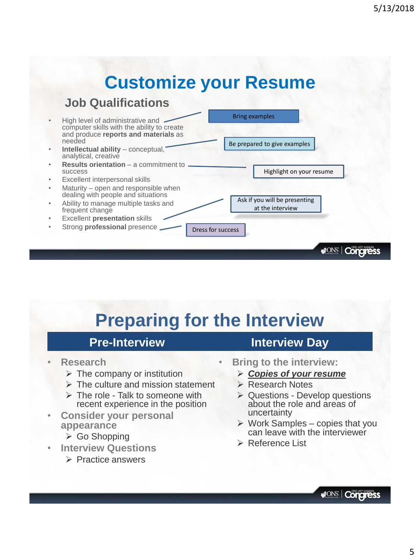# **Customize your Resume**

#### **Job Qualifications**



# **Preparing for the Interview**

#### **Pre-Interview**

- **Research**
	- $\triangleright$  The company or institution
	- $\triangleright$  The culture and mission statement
	- $\triangleright$  The role Talk to someone with recent experience in the position
- **Consider your personal appearance**
	- ➢ Go Shopping
- **Interview Questions**
	- ➢ Practice answers
- **Interview Day**
- **Bring to the interview:**
	- ➢ *Copies of your resume*
	- ➢ Research Notes
	- ➢ Questions Develop questions about the role and areas of uncertainty
	- $\triangleright$  Work Samples copies that you can leave with the interviewer
	- ➢ Reference List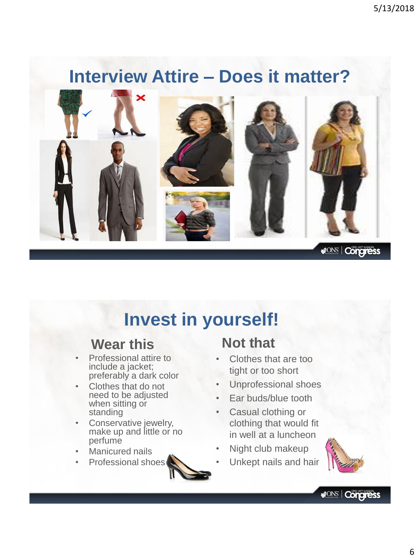# **Interview Attire – Does it matter?**



# **Invest in yourself!**

#### **Wear this**

- Professional attire to include a jacket; preferably a dark color
- Clothes that do not need to be adjusted when sitting or standing
- Conservative jewelry, make up and little or no perfume
- Manicured nails
- Professional shoes



## **Not that**

- Clothes that are too tight or too short
- Unprofessional shoes
- Ear buds/blue tooth
- Casual clothing or clothing that would fit in well at a luncheon
- Night club makeup
- Unkept nails and hair

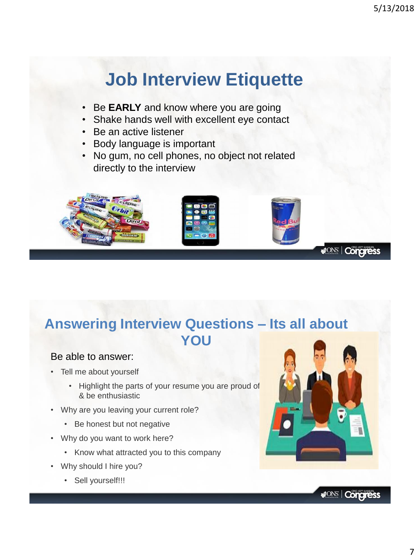# **Job Interview Etiquette**

- Be **EARLY** and know where you are going
- Shake hands well with excellent eye contact
- Be an active listener
- Body language is important
- No gum, no cell phones, no object not related directly to the interview



## **Answering Interview Questions – Its all about YOU**

#### Be able to answer:

- Tell me about yourself
	- Highlight the parts of your resume you are proud of & be enthusiastic
- Why are you leaving your current role?
	- Be honest but not negative
- Why do you want to work here?
	- Know what attracted you to this company
- Why should I hire you?
	- Sell yourself!!!

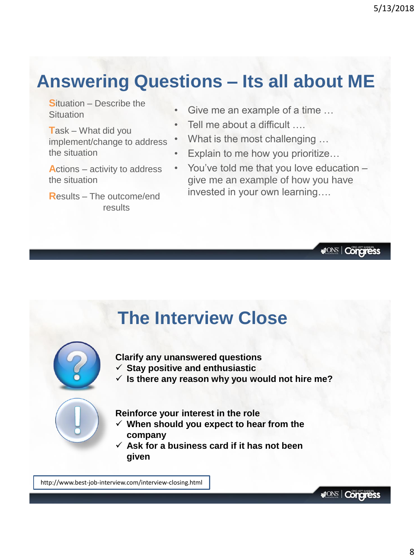# **Answering Questions – Its all about ME**

**S**ituation – Describe the **Situation** 

**T**ask – What did you implement/change to address the situation

**A**ctions – activity to address the situation

**R**esults – The outcome/end results

- Give me an example of a time ...
- Tell me about a difficult ....
- What is the most challenging ...
- Explain to me how you prioritize...
- You've told me that you love education give me an example of how you have invested in your own learning….

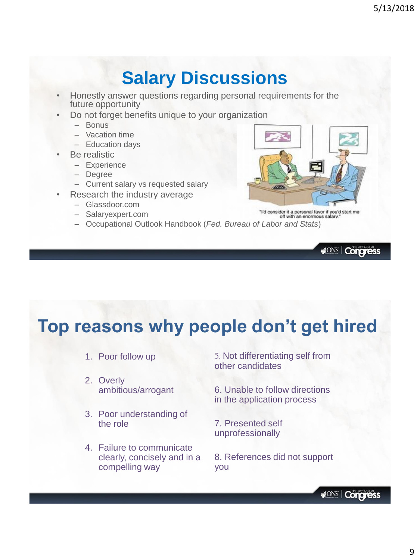# **Salary Discussions**

- Honestly answer questions regarding personal requirements for the future opportunity
- Do not forget benefits unique to your organization
	- Bonus
	- Vacation time
	- Education days
- Be realistic
	- Experience
	- Degree
	- Current salary vs requested salary
- Research the industry average
	- Glassdoor.com
	- Salaryexpert.com
	- Occupational Outlook Handbook (*Fed. Bureau of Labor and Stats*)



**MONS** | Congress

# **Top reasons why people don't get hired**

- 1. Poor follow up
- 2. Overly ambitious/arrogant
- 3. Poor understanding of the role
- 4. Failure to communicate clearly, concisely and in a compelling way

5. Not differentiating self from other candidates

6. Unable to follow directions in the application process

7. Presented self unprofessionally

8. References did not support you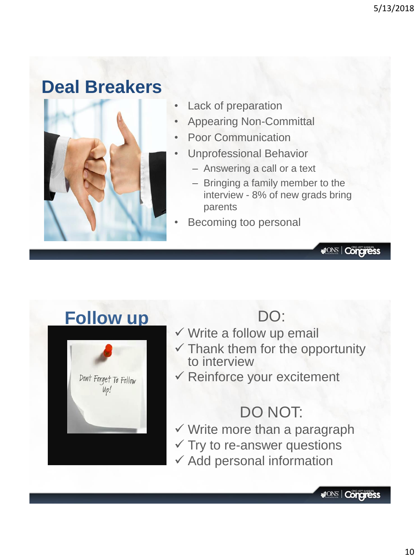# **Deal Breakers**



Lack of preparation

- Appearing Non-Committal
- Poor Communication
- Unprofessional Behavior
	- Answering a call or a text
	- Bringing a family member to the interview - 8% of new grads bring parents
- Becoming too personal

## **Follow up DO:**



- ✓ Write a follow up email
- $\checkmark$  Thank them for the opportunity to interview
- ✓ Reinforce your excitement

# DO NOT:

- $\checkmark$  Write more than a paragraph
- $\checkmark$  Try to re-answer questions
- $\checkmark$  Add personal information